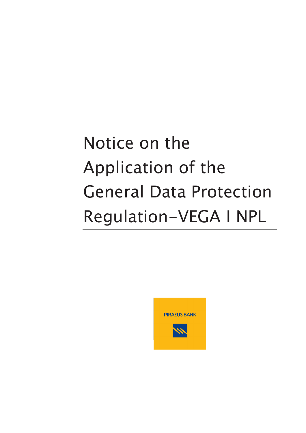# Notice on the Application of the General Data Protection Regulation-VEGA I NPL

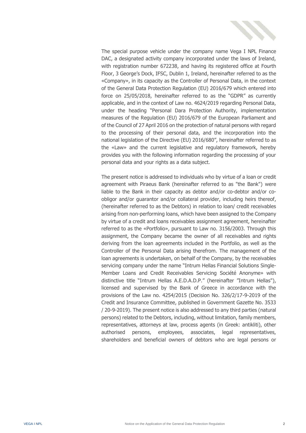

The special purpose vehicle under the company name Vega I NPL Finance DAC, a designated activity company incorporated under the laws of Ireland, with registration number 672238, and having its registered office at Fourth Floor, 3 George's Dock, IFSC, Dublin 1, Ireland, hereinafter referred to as the «Company», in its capacity as the Controller of Personal Data, in the context of the General Data Protection Regulation (EU) 2016/679 which entered into force on 25/05/2018, hereinafter referred to as the "GDPR" as currently applicable, and in the context of Law no. 4624/2019 regarding Personal Data, under the heading "Personal Dara Protection Authority, implementation measures of the Regulation (EU) 2016/679 of the European Parliament and of the Council of 27 April 2016 on the protection of natural persons with regard to the processing of their personal data, and the incorporation into the national legislation of the Directive (EU) 2016/680", hereinafter referred to as the «Law» and the current legislative and regulatory framework, hereby provides you with the following information regarding the processing of your personal data and your rights as a data subject.

The present notice is addressed to individuals who by virtue of a loan or credit agreement with Piraeus Bank (hereinafter referred to as "the Bank") were liable to the Bank in their capacity as debtor and/or co-debtor and/or coobligor and/or guarantor and/or collateral provider, including heirs thereof, (hereinafter referred to as the Debtors) in relation to loan/ credit receivables arising from non-performing loans, which have been assigned to the Company by virtue of a credit and loans receivables assignment agreement, hereinafter referred to as the «Portfolio», pursuant to Law no. 3156/2003. Through this assignment, the Company became the owner of all receivables and rights deriving from the loan agreements included in the Portfolio, as well as the Controller of the Personal Data arising therefrom. The management of the loan agreements is undertaken, on behalf of the Company, by the receivables servicing company under the name "Intrum Hellas Financial Solutions Single-Member Loans and Credit Receivables Servicing Société Anonyme» with distinctive title "Intrum Hellas A.E.D.A.D.P." (hereinafter "Intrum Hellas"), licensed and supervised by the Bank of Greece in accordance with the provisions of the Law no. 4254/2015 (Decision No. 326/2/17-9-2019 of the Credit and Insurance Committee, published in Government Gazette No. 3533 / 20-9-2019). The present notice is also addressed to any third parties (natural persons) related to the Debtors, including, without limitation, family members, representatives, attorneys at law, process agents (in Greek: antikliti), other authorised persons, employees, associates, legal representatives, shareholders and beneficial owners of debtors who are legal persons or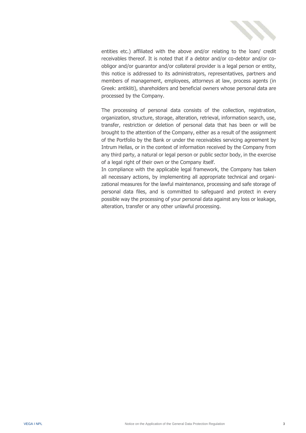

entities etc.) affiliated with the above and/or relating to the loan/ credit receivables thereof. It is noted that if a debtor and/or co-debtor and/or coobligor and/or guarantor and/or collateral provider is a legal person or entity, this notice is addressed to its administrators, representatives, partners and members of management, employees, attorneys at law, process agents (in Greek: antikliti), shareholders and beneficial owners whose personal data are processed by the Company.

The processing of personal data consists of the collection, registration, organization, structure, storage, alteration, retrieval, information search, use, transfer, restriction or deletion of personal data that has been or will be brought to the attention of the Company, either as a result of the assignment of the Portfolio by the Bank or under the receivables servicing agreement by Intrum Hellas, or in the context of information received by the Company from any third party, a natural or legal person or public sector body, in the exercise of a legal right of their own or the Company itself.

In compliance with the applicable legal framework, the Company has taken all necessary actions, by implementing all appropriate technical and organizational measures for the lawful maintenance, processing and safe storage of personal data files, and is committed to safeguard and protect in every possible way the processing of your personal data against any loss or leakage, alteration, transfer or any other unlawful processing.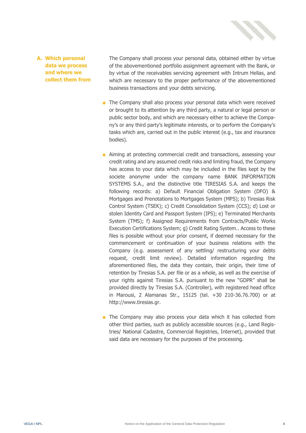

#### **A. Which personal data we process and where we collect them from**

The Company shall process your personal data, obtained either by virtue of the abovementioned portfolio assignment agreement with the Bank, or by virtue of the receivables servicing agreement with Intrum Hellas, and which are necessary to the proper performance of the abovementioned business transactions and your debts servicing.

- The Company shall also process your personal data which were received or brought to its attention by any third party, a natural or legal person or public sector body, and which are necessary either to achieve the Company's or any third party's legitimate interests, or to perform the Company's tasks which are, carried out in the public interest (e.g., tax and insurance bodies).
- Aiming at protecting commercial credit and transactions, assessing your credit rating and any assumed credit risks and limiting fraud, the Company has access to your data which may be included in the files kept by the societe anonyme under the company name BANK INFORMATION SYSTEMS S.A., and the distinctive title TIRESIAS S.A. and keeps the following records: a) Default Financial Obligation System (DFO) & Mortgages and Prenotations to Mortgages System (MPS); b) Tiresias Risk Control System (TSEK); c) Credit Consolidation System (CCS); d) Lost or stolen Identity Card and Passport System (IPS); e) Terminated Merchants System (TMS); f) Assigned Requirements from Contracts/Public Works Execution Certifications System; g) Credit Rating System.. Access to these files is possible without your prior consent, if deemed necessary for the commencement or continuation of your business relations with the Company (e.g. assessment of any settling/ restructuring your debts request, credit limit review). Detailed information regarding the aforementioned files, the data they contain, their origin, their time of retention by Tiresias S.A. per file or as a whole, as well as the exercise of your rights against Tiresias S.A. pursuant to the new "GDPR" shall be provided directly by Tiresias S.A. (Controller), with registered head office in Marousi, 2 Alamanas Str., 15125 (tel. +30 210-36.76.700) or at [http://www.tiresias.gr.](http://www.tiresias.gr/)
- The Company may also process your data which it has collected from other third parties, such as publicly accessible sources (e.g., Land Registries/ National Cadastre, Commercial Registries, Internet), provided that said data are necessary for the purposes of the processing.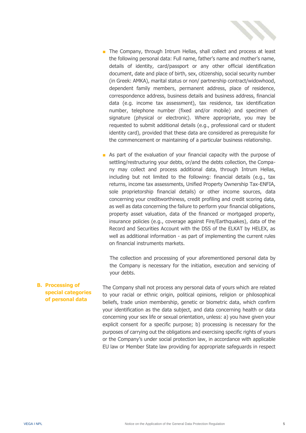

- The Company, through Intrum Hellas, shall collect and process at least the following personal data: Full name, father's name and mother's name, details of identity, card/passport or any other official identification document, date and place of birth, sex, citizenship, social security number (in Greek: AMKA), marital status or non/ partnership contract/widowhood, dependent family members, permanent address, place of residence, correspondence address, business details and business address, financial data (e.g. income tax assessment), tax residence, tax identification number, telephone number (fixed and/or mobile) and specimen of signature (physical or electronic). Where appropriate, you may be requested to submit additional details (e.g., professional card or student identity card), provided that these data are considered as prerequisite for the commencement or maintaining of a particular business relationship.
- As part of the evaluation of your financial capacity with the purpose of settling/restructuring your debts, or/and the debts collection, the Company may collect and process additional data, through Intrum Hellas, including but not limited to the following: financial details (e.g., tax returns, income tax assessments, Unified Property Ownership Tax-ENFIA, sole proprietorship financial details) or other income sources, data concerning your creditworthiness, credit profiling and credit scoring data, as well as data concerning the failure to perform your financial obligations, property asset valuation, data of the financed or mortgaged property, insurance policies (e.g., coverage against Fire/Earthquakes), data of the Record and Securities Account with the DSS of the ELKAT by HELEX, as well as additional information - as part of implementing the current rules on financial instruments markets.

The collection and processing of your aforementioned personal data by the Company is necessary for the initiation, execution and servicing of your debts.

**B. Processing of special categories of personal data** The Company shall not process any personal data of yours which are related to your racial or ethnic origin, political opinions, religion or philosophical beliefs, trade union membership, genetic or biometric data, which confirm your identification as the data subject, and data concerning health or data concerning your sex life or sexual orientation, unless: a) you have given your explicit consent for a specific purpose; b) processing is necessary for the purposes of carrying out the obligations and exercising specific rights of yours or the Company's under social protection law, in accordance with applicable EU law or Member State law providing for appropriate safeguards in respect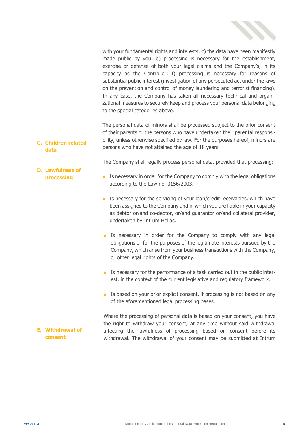

with your fundamental rights and interests; c) the data have been manifestly made public by you; e) processing is necessary for the establishment, exercise or defense of both your legal claims and the Company's, in its capacity as the Controller; f) processing is necessary for reasons of substantial public interest (investigation of any persecuted act under the laws on the prevention and control of money laundering and terrorist financing). In any case, the Company has taken all necessary technical and organizational measures to securely keep and process your personal data belonging to the special categories above.

**C. Children related data** The personal data of minors shall be processed subject to the prior consent of their parents or the persons who have undertaken their parental responsibility, unless otherwise specified by law. For the purposes hereof, minors are persons who have not attained the age of 18 years.

The Company shall legally process personal data, provided that processing:

- Is necessary in order for the Company to comply with the legal obligations according to the Law no. 3156/2003.
- Is necessary for the servicing of your loan/credit receivables, which have been assigned to the Company and in which you are liable in your capacity as debtor or/and co-debtor, or/and guarantor or/and collateral provider, undertaken by Intrum Hellas.
- Is necessary in order for the Company to comply with any legal obligations or for the purposes of the legitimate interests pursued by the Company, which arise from your business transactions with the Company, or other legal rights of the Company.
- Is necessary for the performance of a task carried out in the public interest, in the context of the current legislative and regulatory framework.
- Is based on your prior explicit consent, if processing is not based on any of the aforementioned legal processing bases.

Where the processing of personal data is based on your consent, you have the right to withdraw your consent, at any time without said withdrawal affecting the lawfulness of processing based on consent before its withdrawal. The withdrawal of your consent may be submitted at Intrum

**D. Lawfulness of processing**

**E. Withdrawal of consent**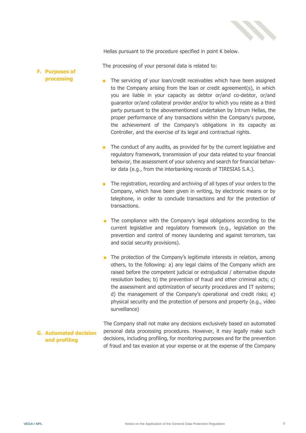

Hellas pursuant to the procedure specified in point K below.

The processing of your personal data is related to:

#### **F. Purposes of processing**

- The servicing of your loan/credit receivables which have been assigned to the Company arising from the loan or credit agreement(s), in which you are liable in your capacity as debtor or/and co-debtor, or/and guarantor or/and collateral provider and/or to which you relate as a third party pursuant to the abovementioned undertaken by Intrum Hellas, the proper performance of any transactions within the Company's purpose, the achievement of the Company's obligations in its capacity as Controller, and the exercise of its legal and contractual rights.
- The conduct of any audits, as provided for by the current legislative and regulatory framework, transmission of your data related to your financial behavior, the assessment of your solvency and search for financial behavior data (e.g., from the interbanking records of TIRESIAS S.A.).
- The registration, recording and archiving of all types of your orders to the Company, which have been given in writing, by electronic means or by telephone, in order to conclude transactions and for the protection of transactions.
- The compliance with the Company's legal obligations according to the current legislative and regulatory framework (e.g., legislation on the prevention and control of money laundering and against terrorism, tax and social security provisions).
- The protection of the Company's legitimate interests in relation, among others, to the following: a) any legal claims of the Company which are raised before the competent judicial or extrajudicial / alternative dispute resolution bodies; b) the prevention of fraud and other criminal acts; c) the assessment and optimization of security procedures and IT systems; d) the management of the Company's operational and credit risks; e) physical security and the protection of persons and property (e.g., video surveillance)

### **G. Automated decision and profiling**

The Company shall not make any decisions exclusively based on automated personal data processing procedures. However, it may legally make such decisions, including profiling, for monitoring purposes and for the prevention of fraud and tax evasion at your expense or at the expense of the Company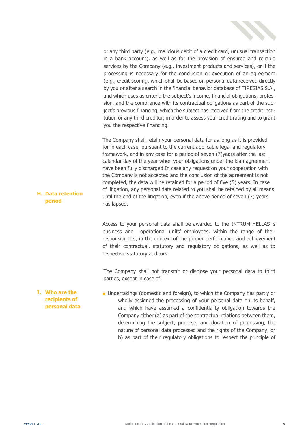

or any third party (e.g., malicious debit of a credit card, unusual transaction in a bank account), as well as for the provision of ensured and reliable services by the Company (e.g., investment products and services), or if the processing is necessary for the conclusion or execution of an agreement (e.g., credit scoring, which shall be based on personal data received directly by you or after a search in the financial behavior database of TIRESIAS S.A., and which uses as criteria the subject's income, financial obligations, profession, and the compliance with its contractual obligations as part of the subject's previous financing, which the subject has received from the credit institution or any third creditor, in order to assess your credit rating and to grant you the respective financing.

The Company shall retain your personal data for as long as it is provided for in each case, pursuant to the current applicable legal and regulatory framework, and in any case for a period of seven (7)years after the last calendar day of the year when your obligations under the loan agreement have been fully discharged.In case any request on your cooperation with the Company is not accepted and the conclusion of the agreement is not completed, the data will be retained for a period of five (5) years. In case of litigation, any personal data related to you shall be retained by all means until the end of the litigation, even if the above period of seven (7) years has lapsed.

Access to your personal data shall be awarded to the INTRUM HELLAS 's business and operational units' employees, within the range of their responsibilities, in the context of the proper performance and achievement of their contractual, statutory and regulatory obligations, as well as to respective statutory auditors.

The Company shall not transmit or disclose your personal data to third parties, except in case of:

**I. Who are the recipients of personal data** ■ Undertakings (domestic and foreign), to which the Company has partly or wholly assigned the processing of your personal data on its behalf, and which have assumed a confidentiality obligation towards the Company either (a) as part of the contractual relations between them, determining the subject, purpose, and duration of processing, the nature of personal data processed and the rights of the Company; or b) as part of their regulatory obligations to respect the principle of

**H. Data retention period**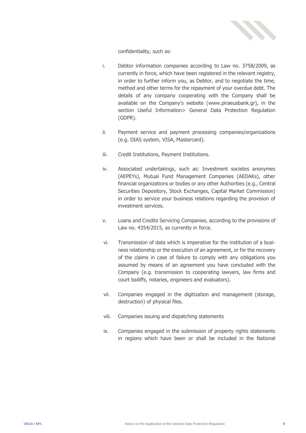

confidentiality, such as:

- i. Debtor information companies according to Law no. 3758/2009, as currently in force, which have been registered in the relevant registry, in order to further inform you, as Debtor, and to negotiate the time, method and other terms for the repayment of your overdue debt. The details of any company cooperating with the Company shall be available on the Company's website ([www.piraeusbank.gr\)](http://www.piraeusbank.gr/), in the section Useful Information> General Data Protection Regulation (GDPR).
- ii. Payment service and payment processing companies/organizations (e.g. DIAS system, VISA, Mastercard).
- iii. Credit Institutions, Payment Institutions.
- iv. Associated undertakings, such as: Investment societes anonymes (AEPEYs), Mutual Fund Management Companies (AEDAKs), other financial organizations or bodies or any other Authorities (e.g., Central Securities Depository, Stock Exchanges, Capital Market Commission) in order to service your business relations regarding the provision of investment services.
- v. Loans and Credits Servicing Companies, according to the provisions of Law no. 4354/2015, as currently in force.
- vi. Transmission of data which is imperative for the institution of a business relationship or the execution of an agreement, or for the recovery of the claims in case of failure to comply with any obligations you assumed by means of an agreement you have concluded with the Company (e.g. transmission to cooperating lawyers, law firms and court bailiffs, notaries, engineers and evaluators).
- vii. Companies engaged in the digitization and management (storage, destruction) of physical files.
- viii. Companies issuing and dispatching statements
- ix. Companies engaged in the submission of property rights statements in regions which have been or shall be included in the National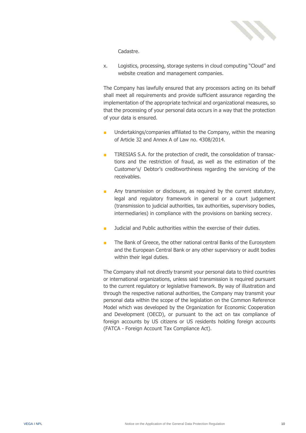

Cadastre.

x. Logistics, processing, storage systems in cloud computing "Cloud" and website creation and management companies.

The Company has lawfully ensured that any processors acting on its behalf shall meet all requirements and provide sufficient assurance regarding the implementation of the appropriate technical and organizational measures, so that the processing of your personal data occurs in a way that the protection of your data is ensured.

- Undertakings/companies affiliated to the Company, within the meaning of Article 32 and Annex A of Law no. 4308/2014.
- TIRESIAS S.A. for the protection of credit, the consolidation of transactions and the restriction of fraud, as well as the estimation of the Customer's/ Debtor's creditworthiness regarding the servicing of the receivables.
- Any transmission or disclosure, as required by the current statutory, legal and regulatory framework in general or a court judgement (transmission to judicial authorities, tax authorities, supervisory bodies, intermediaries) in compliance with the provisions on banking secrecy.
- Judicial and Public authorities within the exercise of their duties.
- The Bank of Greece, the other national central Banks of the Eurosystem and the European Central Bank or any other supervisory or audit bodies within their legal duties.

The Company shall not directly transmit your personal data to third countries or international organizations, unless said transmission is required pursuant to the current regulatory or legislative framework. By way of illustration and through the respective national authorities, the Company may transmit your personal data within the scope of the legislation on the Common Reference Model which was developed by the Organization for Economic Cooperation and Development (OECD), or pursuant to the act on tax compliance of foreign accounts by US citizens or US residents holding foreign accounts (FATCA - Foreign Account Tax Compliance Act).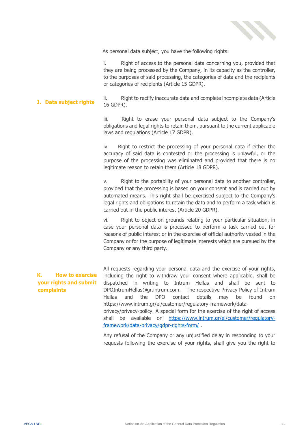

As personal data subject, you have the following rights:

i. Right of access to the personal data concerning you, provided that they are being processed by the Company, in its capacity as the controller, to the purposes of said processing, the categories of data and the recipients or categories of recipients (Article 15 GDPR).

**J. Data subject rights** ii. Right to rectify inaccurate data and complete incomplete data (Article 16 GDPR).

> iii. Right to erase your personal data subject to the Company's obligations and legal rights to retain them, pursuant to the current applicable laws and regulations (Article 17 GDPR).

> iv. Right to restrict the processing of your personal data if either the accuracy of said data is contested or the processing is unlawful, or the purpose of the processing was eliminated and provided that there is no legitimate reason to retain them (Article 18 GDPR).

> v. Right to the portability of your personal data to another controller, provided that the processing is based on your consent and is carried out by automated means. This right shall be exercised subject to the Company's legal rights and obligations to retain the data and to perform a task which is carried out in the public interest (Article 20 GDPR).

> vi. Right to object on grounds relating to your particular situation, in case your personal data is processed to perform a task carried out for reasons of public interest or in the exercise of official authority vested in the Company or for the purpose of legitimate interests which are pursued by the Company or any third party.

## **K. How to exercise your rights and submit complaints**

All requests regarding your personal data and the exercise of your rights, including the right to withdraw your consent where applicable, shall be dispatched in writing to Intrum Hellas and shall be sent to DPOIntrumHellas@gr.intrum.com. The respective Privacy Policy of Intrum Hellas and the DPO contact details may be found on https://www.intrum.gr/el/customer/regulatory-framework/dataprivacy/privacy-policy. A special form for the exercise of the right of access shall be available on [https://www.intrum.gr/el/customer/regulatory](https://www.intrum.gr/el/customer/regulatory-framework/data-privacy/gdpr-rights-form/)[framework/data-privacy/gdpr-rights-form/](https://www.intrum.gr/el/customer/regulatory-framework/data-privacy/gdpr-rights-form/) .

Any refusal of the Company or any unjustified delay in responding to your requests following the exercise of your rights, shall give you the right to